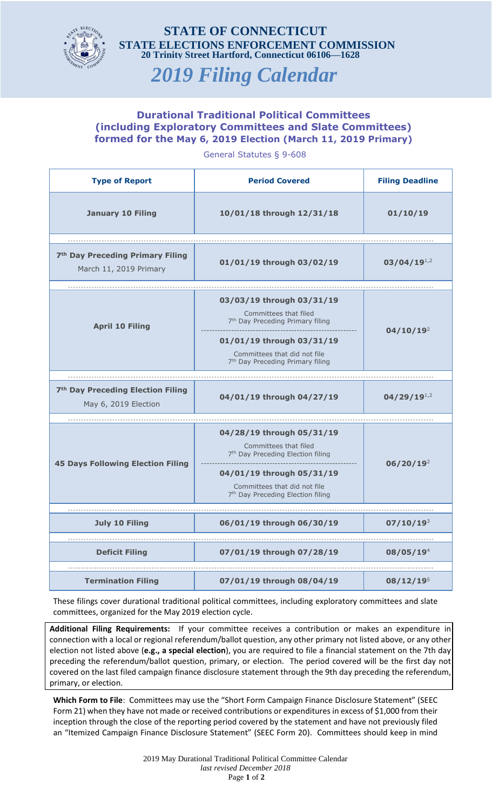

## **STATE OF CONNECTICUT STATE ELECTIONS ENFORCEMENT COMMISSION 20 Trinity Street Hartford, Connecticut 06106—1628**

## *2019 Filing Calendar*

## **Durational Traditional Political Committees (including Exploratory Committees and Slate Committees) formed for the May 6, 2019 Election (March 11, 2019 Primary)**

General Statutes § 9-608

| <b>Type of Report</b>                                                  | <b>Period Covered</b>                                                                                                                                                                                             | <b>Filing Deadline</b> |
|------------------------------------------------------------------------|-------------------------------------------------------------------------------------------------------------------------------------------------------------------------------------------------------------------|------------------------|
| <b>January 10 Filing</b>                                               | 10/01/18 through 12/31/18                                                                                                                                                                                         | 01/10/19               |
|                                                                        |                                                                                                                                                                                                                   |                        |
| 7 <sup>th</sup> Day Preceding Primary Filing<br>March 11, 2019 Primary | 01/01/19 through 03/02/19                                                                                                                                                                                         | $03/04/19^{1.2}$       |
|                                                                        |                                                                                                                                                                                                                   |                        |
| <b>April 10 Filing</b>                                                 | 03/03/19 through 03/31/19<br>Committees that filed<br>7 <sup>th</sup> Day Preceding Primary filing                                                                                                                | 04/10/19 <sup>2</sup>  |
|                                                                        | 01/01/19 through 03/31/19<br>Committees that did not file<br>7 <sup>th</sup> Day Preceding Primary filing                                                                                                         |                        |
|                                                                        |                                                                                                                                                                                                                   |                        |
| 7 <sup>th</sup> Day Preceding Election Filing<br>May 6, 2019 Election  | 04/01/19 through 04/27/19                                                                                                                                                                                         | $04/29/19^{1,2}$       |
|                                                                        |                                                                                                                                                                                                                   |                        |
| <b>45 Days Following Election Filing</b>                               | 04/28/19 through 05/31/19<br>Committees that filed<br>7 <sup>th</sup> Day Preceding Election filing<br>04/01/19 through 05/31/19<br>Committees that did not file<br>7 <sup>th</sup> Day Preceding Election filing | 06/20/19 <sup>2</sup>  |
|                                                                        |                                                                                                                                                                                                                   |                        |
| <b>July 10 Filing</b>                                                  | 06/01/19 through 06/30/19                                                                                                                                                                                         | $07/10/19^{3}$         |
|                                                                        |                                                                                                                                                                                                                   |                        |
| <b>Deficit Filing</b>                                                  | 07/01/19 through 07/28/19                                                                                                                                                                                         | 08/05/19 <sup>4</sup>  |
| <b>Termination Filing</b>                                              | 07/01/19 through 08/04/19                                                                                                                                                                                         | $08/12/19^5$           |

These filings cover durational traditional political committees, including exploratory committees and slate committees, organized for the May 2019 election cycle.

**Additional Filing Requirements:** If your committee receives a contribution or makes an expenditure in connection with a local or regional referendum/ballot question, any other primary not listed above, or any other election not listed above (**e.g., a special election**), you are required to file a financial statement on the 7th day preceding the referendum/ballot question, primary, or election. The period covered will be the first day not covered on the last filed campaign finance disclosure statement through the 9th day preceding the referendum, primary, or election.

**Which Form to File**: Committees may use the "Short Form Campaign Finance Disclosure Statement" (SEEC Form 21) when they have not made or received contributions or expenditures in excess of \$1,000 from their inception through the close of the reporting period covered by the statement and have not previously filed an "Itemized Campaign Finance Disclosure Statement" (SEEC Form 20). Committees should keep in mind